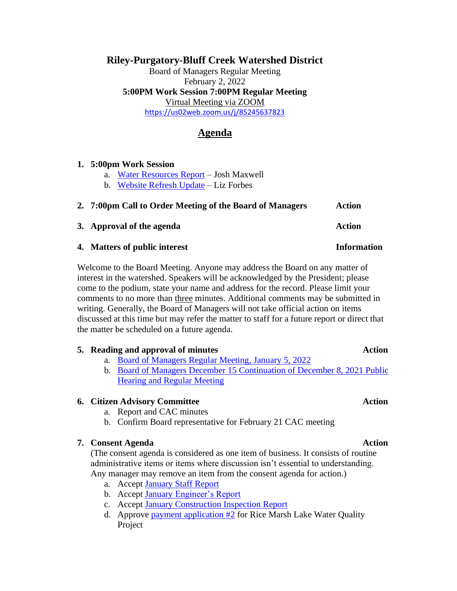## **Riley-Purgatory-Bluff Creek Watershed District**

Board of Managers Regular Meeting February 2, 2022 **5:00PM Work Session 7:00PM Regular Meeting** Virtual Meeting via ZOOM <https://us02web.zoom.us/j/85245637823>

# **Agenda**

| 1. 5:00pm Work Session                                   |                                          |        |
|----------------------------------------------------------|------------------------------------------|--------|
|                                                          | a. Water Resources Report - Josh Maxwell |        |
|                                                          | b. Website Refresh Update – Liz Forbes   |        |
| 2. 7:00pm Call to Order Meeting of the Board of Managers |                                          | Action |
|                                                          | 3. Approval of the agenda                | Action |

Welcome to the Board Meeting. Anyone may address the Board on any matter of

interest in the watershed. Speakers will be acknowledged by the President; please come to the podium, state your name and address for the record. Please limit your comments to no more than three minutes. Additional comments may be submitted in writing. Generally, the Board of Managers will not take official action on items discussed at this time but may refer the matter to staff for a future report or direct that the matter be scheduled on a future agenda.

**4. Matters of public interest Information**

## **5. Reading and approval of minutes Action**

- a. [Board of Managers Regular Meeting, January 5, 2022](https://rpbcwd.org/download_file/2252/0)
- b. [Board of Managers December 15 Continuation of December 8, 2021 Public](https://rpbcwd.org/download_file/2254/0)  [Hearing and Regular Meeting](https://rpbcwd.org/download_file/2254/0)

## **6. Citizen Advisory Committee Action**

- a. Report and CAC minutes
- b. Confirm Board representative for February 21 CAC meeting

## **7. Consent Agenda Action**

(The consent agenda is considered as one item of business. It consists of routine administrative items or items where discussion isn't essential to understanding. Any manager may remove an item from the consent agenda for action.)

- a. Accept January [Staff Report](https://rpbcwd.org/download_file/2257/0)
- b. Accept January [Engineer's Report](https://rpbcwd.org/download_file/2245/0)
- c. Accept [January Construction Inspection Report](https://rpbcwd.org/download_file/2255/0)
- d. Approve payment application  $#2$  for Rice Marsh Lake Water Quality Project